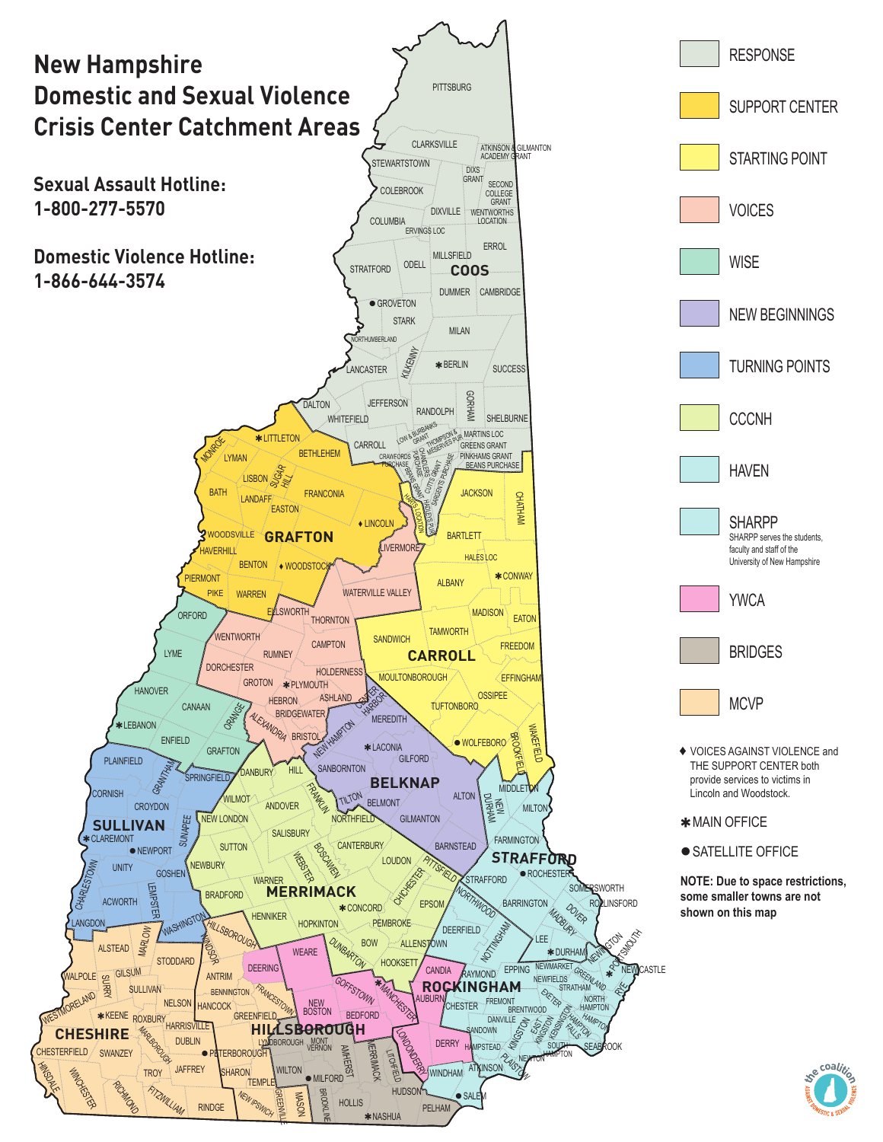